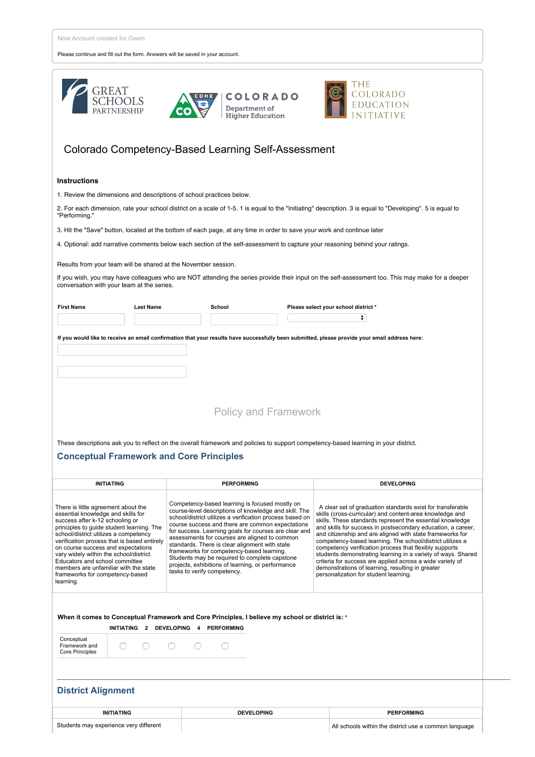Please continue and fill out the form. Answers will be saved in your account.

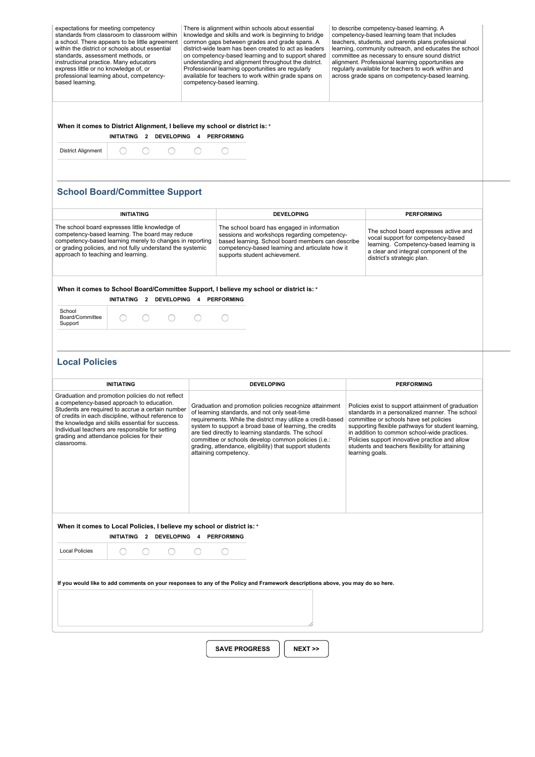| expectations for meeting competency<br>standards from classroom to classroom within<br>a school. There appears to be little agreement<br>within the district or schools about essential<br>standards, assessment methods, or<br>instructional practice. Many educators |
|------------------------------------------------------------------------------------------------------------------------------------------------------------------------------------------------------------------------------------------------------------------------|
|                                                                                                                                                                                                                                                                        |
| express little or no knowledge of, or                                                                                                                                                                                                                                  |
| professional learning about, competency-<br>based learning.                                                                                                                                                                                                            |

There is alignment within schools about essential knowledge and skills and work is beginning to bridge common gaps between grades and grade spans. A districtwide team has been created to act as leaders on competencybased learning and to support shared understanding and alignment throughout the district. Professional learning opportunities are regularly available for teachers to work within grade spans on competency-based learning.

to describe competency-based learning. A competency-based learning team that includes teachers, students, and parents plans professional learning, community outreach, and educates the school committee as necessary to ensure sound district alignment. Professional learning opportunities are regularly available for teachers to work within and across grade spans on competencybased learning.

**When it comes to District Alignment, I believe my school or district is: \***

**INITIATING 2 DEVELOPING 4 PERFORMING**



## **School Board/Committee Support**

|                                                                                                                                                                                                                                                                                                                                                                                                                                                                                                                                                                                                                                                                                                                                                                                                                   | <b>INITIATING</b>                    |  | <b>DEVELOPING</b>                                                                                                                                                                                                                                                                                                                                                                                                                    |  | <b>PERFORMING</b> |  |
|-------------------------------------------------------------------------------------------------------------------------------------------------------------------------------------------------------------------------------------------------------------------------------------------------------------------------------------------------------------------------------------------------------------------------------------------------------------------------------------------------------------------------------------------------------------------------------------------------------------------------------------------------------------------------------------------------------------------------------------------------------------------------------------------------------------------|--------------------------------------|--|--------------------------------------------------------------------------------------------------------------------------------------------------------------------------------------------------------------------------------------------------------------------------------------------------------------------------------------------------------------------------------------------------------------------------------------|--|-------------------|--|
| The school board expresses little knowledge of<br>competency-based learning. The board may reduce<br>competency-based learning merely to changes in reporting<br>or grading policies, and not fully understand the systemic<br>approach to teaching and learning.                                                                                                                                                                                                                                                                                                                                                                                                                                                                                                                                                 |                                      |  | The school board has engaged in information<br>The school board expresses active and<br>sessions and workshops regarding competency-<br>vocal support for competency-based<br>based learning. School board members can describe<br>learning. Competency-based learning is<br>competency-based learning and articulate how it<br>a clear and integral component of the<br>supports student achievement.<br>district's strategic plan. |  |                   |  |
|                                                                                                                                                                                                                                                                                                                                                                                                                                                                                                                                                                                                                                                                                                                                                                                                                   | INITIATING 2 DEVELOPING 4 PERFORMING |  | When it comes to School Board/Committee Support, I believe my school or district is: *                                                                                                                                                                                                                                                                                                                                               |  |                   |  |
| School<br>Board/Committee<br>Support                                                                                                                                                                                                                                                                                                                                                                                                                                                                                                                                                                                                                                                                                                                                                                              |                                      |  |                                                                                                                                                                                                                                                                                                                                                                                                                                      |  |                   |  |
| <b>INITIATING</b>                                                                                                                                                                                                                                                                                                                                                                                                                                                                                                                                                                                                                                                                                                                                                                                                 |                                      |  | <b>DEVELOPING</b>                                                                                                                                                                                                                                                                                                                                                                                                                    |  | <b>PERFORMING</b> |  |
| Graduation and promotion policies do not reflect<br>a competency-based approach to education.<br>Graduation and promotion policies recognize attainment<br>Students are required to accrue a certain number<br>of learning standards, and not only seat-time<br>of credits in each discipline, without reference to<br>requirements. While the district may utilize a credit-based<br>the knowledge and skills essential for success.<br>system to support a broad base of learning, the credits<br>Individual teachers are responsible for setting<br>are tied directly to learning standards. The school<br>grading and attendance policies for their<br>committee or schools develop common policies (i.e.:<br>classrooms.<br>grading, attendance, eligibility) that support students<br>attaining competency. |                                      |  |                                                                                                                                                                                                                                                                                                                                                                                                                                      |  |                   |  |

**\_\_\_\_\_\_\_\_\_\_\_\_\_\_\_\_\_\_\_\_\_\_\_\_\_\_\_\_\_\_\_\_\_\_\_\_\_\_\_\_\_\_\_\_\_\_\_\_\_\_\_\_\_\_\_\_\_\_\_\_\_\_\_\_\_\_\_\_\_\_\_\_\_\_\_\_\_\_\_\_\_\_\_\_\_\_\_\_\_\_\_\_\_\_\_\_\_\_\_\_\_\_\_\_\_\_\_\_\_\_\_\_\_\_\_\_\_\_\_\_\_\_\_\_\_\_\_\_\_\_\_\_\_\_\_\_\_\_\_\_\_\_\_\_\_\_\_\_\_\_\_\_\_\_**

**When it comes to Local Policies, I believe my school or district is: \* INITIATING 2 DEVELOPING 4 PERFORMING** Local Policies  $\bigcirc$  $\bigcirc$  $\bigcirc$  $\bigcirc$  $\circ$ If you would like to add comments on your responses to any of the Policy and Framework descriptions above, you may do so here.

**SAVE PROGRESS NEXT >>**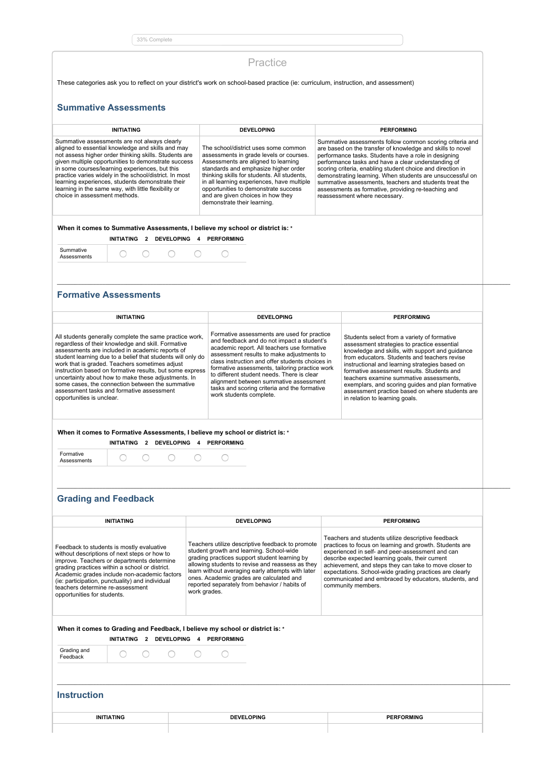33% Complete

## Practice

These categories ask you to reflect on your district's work on school-based practice (ie: curriculum, instruction, and assessment)

## **Summative Assessments**

| <b>INITIATING</b>                                                                                                                                                                                                                                                                                                                                                                                                                                                          |                   |                |                   |                                                                                                                                                                                                                                                                                                                                                                         | <b>DEVELOPING</b>                                                                                                                                                                                                                                                                                                                                                                                                                                                                                                  | <b>PERFORMING</b> |
|----------------------------------------------------------------------------------------------------------------------------------------------------------------------------------------------------------------------------------------------------------------------------------------------------------------------------------------------------------------------------------------------------------------------------------------------------------------------------|-------------------|----------------|-------------------|-------------------------------------------------------------------------------------------------------------------------------------------------------------------------------------------------------------------------------------------------------------------------------------------------------------------------------------------------------------------------|--------------------------------------------------------------------------------------------------------------------------------------------------------------------------------------------------------------------------------------------------------------------------------------------------------------------------------------------------------------------------------------------------------------------------------------------------------------------------------------------------------------------|-------------------|
| Summative assessments are not always clearly<br>aligned to essential knowledge and skills and may<br>not assess higher order thinking skills. Students are<br>given multiple opportunities to demonstrate success<br>in some courses/learning experiences, but this<br>practice varies widely in the school/district. In most<br>learning experiences, students demonstrate their<br>learning in the same way, with little flexibility or<br>choice in assessment methods. |                   |                |                   | The school/district uses some common<br>assessments in grade levels or courses.<br>Assessments are aligned to learning<br>standards and emphasize higher order<br>thinking skills for students. All students,<br>in all learning experiences, have multiple<br>opportunities to demonstrate success<br>and are given choices in how they<br>demonstrate their learning. | Summative assessments follow common scoring criteria and<br>are based on the transfer of knowledge and skills to novel<br>performance tasks. Students have a role in designing<br>performance tasks and have a clear understanding of<br>scoring criteria, enabling student choice and direction in<br>demonstrating learning. When students are unsuccessful on<br>summative assessments, teachers and students treat the<br>assessments as formative, providing re-teaching and<br>reassessment where necessary. |                   |
|                                                                                                                                                                                                                                                                                                                                                                                                                                                                            | <b>INITIATING</b> | $\overline{2}$ | <b>DEVELOPING</b> | 4                                                                                                                                                                                                                                                                                                                                                                       | When it comes to Summative Assessments, I believe my school or district is: *<br><b>PERFORMING</b>                                                                                                                                                                                                                                                                                                                                                                                                                 |                   |
|                                                                                                                                                                                                                                                                                                                                                                                                                                                                            |                   |                |                   |                                                                                                                                                                                                                                                                                                                                                                         |                                                                                                                                                                                                                                                                                                                                                                                                                                                                                                                    |                   |

**\_\_\_\_\_\_\_\_\_\_\_\_\_\_\_\_\_\_\_\_\_\_\_\_\_\_\_\_\_\_\_\_\_\_\_\_\_\_\_\_\_\_\_\_\_\_\_\_\_\_\_\_\_\_\_\_\_\_\_\_\_\_\_\_\_\_\_\_\_\_\_\_\_\_\_\_\_\_\_\_\_\_\_\_\_\_\_\_\_\_\_\_\_\_\_\_\_\_\_\_\_\_\_\_\_\_\_\_\_\_\_\_\_\_\_\_\_\_\_\_\_\_\_\_\_\_\_\_\_\_\_\_\_\_\_\_\_\_\_\_\_\_\_\_\_\_\_\_\_\_\_\_\_\_**

## **Formative Assessments**

| <b>INITIATING</b><br><b>DEVELOPING</b><br><b>PERFORMING</b>                                                                                                                                                                                                                                                                                                    |                                                                                                                                                                                                                                                                                                                   |                                                                                                                                                                                                                                                                                                                                                                                                                                                                                   |  |  |  |  |
|----------------------------------------------------------------------------------------------------------------------------------------------------------------------------------------------------------------------------------------------------------------------------------------------------------------------------------------------------------------|-------------------------------------------------------------------------------------------------------------------------------------------------------------------------------------------------------------------------------------------------------------------------------------------------------------------|-----------------------------------------------------------------------------------------------------------------------------------------------------------------------------------------------------------------------------------------------------------------------------------------------------------------------------------------------------------------------------------------------------------------------------------------------------------------------------------|--|--|--|--|
| All students generally complete the same practice work,<br>regardless of their knowledge and skill. Formative<br>assessments are included in academic reports of                                                                                                                                                                                               | Formative assessments are used for practice<br>and feedback and do not impact a student's<br>academic report. All teachers use formative                                                                                                                                                                          | Students select from a variety of formative<br>assessment strategies to practice essential<br>knowledge and skills, with support and quidance<br>from educators. Students and teachers revise<br>instructional and learning strategies based on<br>formative assessment results. Students and<br>teachers examine summative assessments.<br>exemplars, and scoring quides and plan formative<br>assessment practice based on where students are<br>in relation to learning goals. |  |  |  |  |
| student learning due to a belief that students will only do<br>work that is graded. Teachers sometimes adjust<br>instruction based on formative results, but some express<br>uncertainty about how to make these adjustments. In<br>some cases, the connection between the summative<br>assessment tasks and formative assessment<br>opportunities is unclear. | assessment results to make adjustments to<br>class instruction and offer students choices in<br>formative assessments, tailoring practice work<br>to different student needs. There is clear<br>alignment between summative assessment<br>tasks and scoring criteria and the formative<br>work students complete. |                                                                                                                                                                                                                                                                                                                                                                                                                                                                                   |  |  |  |  |
| When it comes to Formative Assessments, I believe my school or district is: *<br><b>DEVELOPING</b><br><b>PERFORMING</b><br><b>INITIATING</b><br>2<br>4                                                                                                                                                                                                         |                                                                                                                                                                                                                                                                                                                   |                                                                                                                                                                                                                                                                                                                                                                                                                                                                                   |  |  |  |  |
| Formative<br>Assessments                                                                                                                                                                                                                                                                                                                                       |                                                                                                                                                                                                                                                                                                                   |                                                                                                                                                                                                                                                                                                                                                                                                                                                                                   |  |  |  |  |

**\_\_\_\_\_\_\_\_\_\_\_\_\_\_\_\_\_\_\_\_\_\_\_\_\_\_\_\_\_\_\_\_\_\_\_\_\_\_\_\_\_\_\_\_\_\_\_\_\_\_\_\_\_\_\_\_\_\_\_\_\_\_\_\_\_\_\_\_\_\_\_\_\_\_\_\_\_\_\_\_\_\_\_\_\_\_\_\_\_\_\_\_\_\_\_\_\_\_\_\_\_\_\_\_\_\_\_\_\_\_\_\_\_\_\_\_\_\_\_\_\_\_\_\_\_\_\_\_\_\_\_\_\_\_\_\_\_\_\_\_\_\_\_\_\_\_\_\_\_\_\_\_\_\_**

# **Grading and Feedback**

| <b>INITIATING</b>                                                                                                                                                                                                                                                                                                                                               | <b>DEVELOPING</b>                                                                                                                                                                                                                                                                                                                                                   | <b>PERFORMING</b>                                                                                                                                                                                                                                                                                                                                                                                                        |  |  |  |  |
|-----------------------------------------------------------------------------------------------------------------------------------------------------------------------------------------------------------------------------------------------------------------------------------------------------------------------------------------------------------------|---------------------------------------------------------------------------------------------------------------------------------------------------------------------------------------------------------------------------------------------------------------------------------------------------------------------------------------------------------------------|--------------------------------------------------------------------------------------------------------------------------------------------------------------------------------------------------------------------------------------------------------------------------------------------------------------------------------------------------------------------------------------------------------------------------|--|--|--|--|
| Feedback to students is mostly evaluative<br>without descriptions of next steps or how to<br>improve. Teachers or departments determine<br>grading practices within a school or district.<br>Academic grades include non-academic factors<br>(ie: participation, punctuality) and individual<br>teachers determine re-assessment<br>opportunities for students. | Teachers utilize descriptive feedback to promote<br>student growth and learning. School-wide<br>grading practices support student learning by<br>allowing students to revise and reassess as they<br>learn without averaging early attempts with later<br>ones. Academic grades are calculated and<br>reported separately from behavior / habits of<br>work grades. | Teachers and students utilize descriptive feedback<br>practices to focus on learning and growth. Students are<br>experienced in self- and peer-assessment and can<br>describe expected learning goals, their current<br>achievement, and steps they can take to move closer to<br>expectations. School-wide grading practices are clearly<br>communicated and embraced by educators, students, and<br>community members. |  |  |  |  |
| When it comes to Grading and Feedback, I believe my school or district is: *<br>INITIATING 2<br>DEVELOPING 4 PERFORMING                                                                                                                                                                                                                                         |                                                                                                                                                                                                                                                                                                                                                                     |                                                                                                                                                                                                                                                                                                                                                                                                                          |  |  |  |  |
| Grading and<br>Feedback                                                                                                                                                                                                                                                                                                                                         |                                                                                                                                                                                                                                                                                                                                                                     |                                                                                                                                                                                                                                                                                                                                                                                                                          |  |  |  |  |
| <b>Instruction</b>                                                                                                                                                                                                                                                                                                                                              |                                                                                                                                                                                                                                                                                                                                                                     |                                                                                                                                                                                                                                                                                                                                                                                                                          |  |  |  |  |
| <b>INITIATING</b>                                                                                                                                                                                                                                                                                                                                               | <b>DEVELOPING</b>                                                                                                                                                                                                                                                                                                                                                   | <b>PERFORMING</b>                                                                                                                                                                                                                                                                                                                                                                                                        |  |  |  |  |
|                                                                                                                                                                                                                                                                                                                                                                 |                                                                                                                                                                                                                                                                                                                                                                     |                                                                                                                                                                                                                                                                                                                                                                                                                          |  |  |  |  |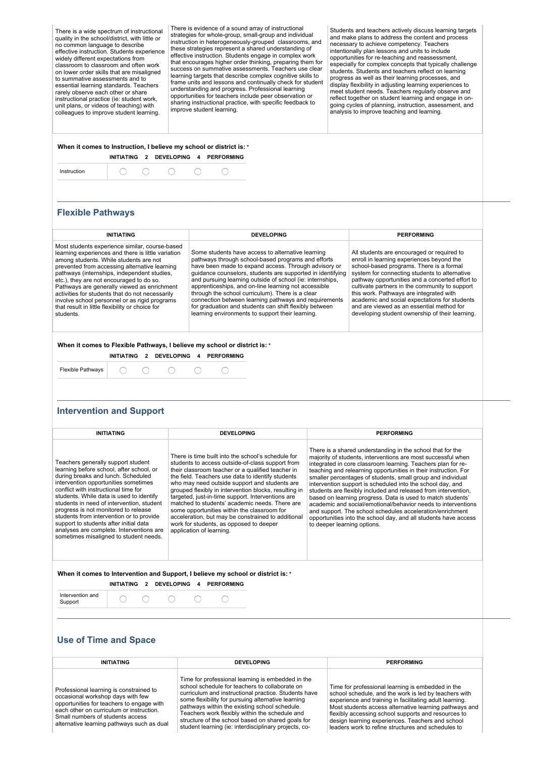There is a wide spectrum of instructional quality in the school/district, with little or no common language to describe effective instruction. Students experience widely different expectations from classroom to classroom and often work on lower order skills that are misaligned to summative assessments and to essential learning standards. Teachers rarely observe each other or share instructional practice (ie: student work, unit plans, or videos of teaching) with colleagues to improve student learning.

There is evidence of a sound array of instructional strategies for whole-group, small-group and individual instruction in heterogeneously-grouped classrooms, and<br>these strategies represent a shared understanding of effective instruction. Students engage in complex work that encourages higher order thinking, preparing them for success on summative assessments. Teachers use clear learning targets that describe complex cognitive skills to frame units and lessons and continually check for student understanding and progress. Professional learning opportunities for teachers include peer observation or sharing instructional practice, with specific feedback to improve student learning.

Students and teachers actively discuss learning targets and make plans to address the content and proces necessary to achieve competency. Teachers intentionally plan lessons and units to include<br>opportunities for re-teaching and reassessment, especially for complex concepts that typically challenge students. Students and teachers reflect on learning progress as well as their learning processes, and display flexibility in adjusting learning experiences to meet student needs. Teachers regularly observe and reflect together on student learning and engage in ongoing cycles of planning, instruction, assessment, and analysis to improve teaching and learning.

### **When it comes to Instruction, I believe my school or district is: \* INITIATING 2 DEVELOPING 4 PERFORMING**

| .<br>Inetruc |  |  |  |  |  |  |
|--------------|--|--|--|--|--|--|
|--------------|--|--|--|--|--|--|

## **Flexible Pathways**

#### **INITIATING DEVELOPING PERFORMING** Most students experience similar, course-based Some students have access to alternative learning All students are encouraged or required to learning experiences and there is little variation among students. While students are not enroll in learning experiences beyond the pathways through school-based programs and efforts<br>have been made to expand access. Through advisory or prevented from accessing alternative learning school-based programs. There is a formal guidance counselors, students are supported in identifying system for connecting students to alternative pathways (internships, independent studies, etc.), they are not encouraged to do so. and pursuing learning outside of school (ie: internships, pathway opportunities and a concerted effort to Pathways are generally viewed as enrichment apprenticeships, and on-line learning not accessible cultivate partners in the community to support through the school curriculum). There is a clear this work. Pathways are integrated with activities for students that do not necessarily involve school personnel or as rigid programs connection between learning pathways and requirements academic and social expectations for students that result in little flexibility or choice for for graduation and students can shift flexibly between and are viewed as an essential method for learning environments to support their learning. developing student ownership of their learning. students. **When it comes to Flexible Pathways, I believe my school or district is: \* INITIATING 2 DEVELOPING 4 PERFORMING** Flexible Pathways O  $\bigcirc$  $\bigcirc$ 0 O **\_\_\_\_\_\_\_\_\_\_\_\_\_\_\_\_\_\_\_\_\_\_\_\_\_\_\_\_\_\_\_\_\_\_\_\_\_\_\_\_\_\_\_\_\_\_\_\_\_\_\_\_\_\_\_\_\_\_\_\_\_\_\_\_\_\_\_\_\_\_\_\_\_\_\_\_\_\_\_\_\_\_\_\_\_\_\_\_\_\_\_\_\_\_\_\_\_\_\_\_\_\_\_\_\_\_\_\_\_\_\_\_\_\_\_\_\_\_\_\_\_\_\_\_\_\_\_\_\_\_\_\_\_\_\_\_\_\_\_\_\_\_\_\_\_\_\_\_\_\_\_\_\_\_ Intervention and Support INITIATING DEVELOPING PERFORMING** There is a shared understanding in the school that for the There is time built into the school's schedule for majority of students, interventions are most successful when Teachers generally support student students to access outside-of-class support from integrated in core classroom learning. Teachers plan for relearning before school, after school, or their classroom teacher or a qualified teacher in teaching and relearning opportunities in their instruction. For smaller percentages of students, small group and individual during breaks and lunch. Scheduled the field. Teachers use data to identify students intervention opportunities sometimes intervention support is scheduled into the school day, and who may need outside support and students are grouped flexibly in intervention blocks, resulting in conflict with instructional time for students are flexibly included and released from intervention, based on learning progress. Data is used to match students' students. While data is used to identify targeted, just-in-time support. Interventions are students in need of intervention, student matched to students' academic needs. There are academic and social/emotional/behavior needs to interventions progress is not monitored to release some opportunities within the classroom for and support. The school schedules acceleration/enrichment students from intervention or to provide acceleration, but may be constrained to additional opportunities into the school day, and all students have access work for students, as opposed to deeper support to students after initial data analyses are complete. Interventions are to deeper learning options. application of learning. sometimes misaligned to student needs. **When it comes to Intervention and Support, I believe my school or district is: \* INITIATING 2 DEVELOPING 4 PERFORMING** Intervention and ∩  $\bigcap$  $\bigcap$ ∩ ∩ Support **\_\_\_\_\_\_\_\_\_\_\_\_\_\_\_\_\_\_\_\_\_\_\_\_\_\_\_\_\_\_\_\_\_\_\_\_\_\_\_\_\_\_\_\_\_\_\_\_\_\_\_\_\_\_\_\_\_\_\_\_\_\_\_\_\_\_\_\_\_\_\_\_\_\_\_\_\_\_\_\_\_\_\_\_\_\_\_\_\_\_\_\_\_\_\_\_\_\_\_\_\_\_\_\_\_\_\_\_\_\_\_\_\_\_\_\_\_\_\_\_\_\_\_\_\_\_\_\_\_\_\_\_\_\_\_\_\_\_\_\_\_\_\_\_\_\_\_\_\_\_\_\_\_\_ Use of Time and Space**

**\_\_\_\_\_\_\_\_\_\_\_\_\_\_\_\_\_\_\_\_\_\_\_\_\_\_\_\_\_\_\_\_\_\_\_\_\_\_\_\_\_\_\_\_\_\_\_\_\_\_\_\_\_\_\_\_\_\_\_\_\_\_\_\_\_\_\_\_\_\_\_\_\_\_\_\_\_\_\_\_\_\_\_\_\_\_\_\_\_\_\_\_\_\_\_\_\_\_\_\_\_\_\_\_\_\_\_\_\_\_\_\_\_\_\_\_\_\_\_\_\_\_\_\_\_\_\_\_\_\_\_\_\_\_\_\_\_\_\_\_\_\_\_\_\_\_\_\_\_\_\_\_\_\_**

| <b>INITIATING</b>                                                                                                                                                                                                                                       | DEVELOPING                                                                                                                                                                                                                                                                                                                                                                                                                         | <b>PERFORMING</b>                                                                                                                                                                                                                                                                                                                                                                                |  |
|---------------------------------------------------------------------------------------------------------------------------------------------------------------------------------------------------------------------------------------------------------|------------------------------------------------------------------------------------------------------------------------------------------------------------------------------------------------------------------------------------------------------------------------------------------------------------------------------------------------------------------------------------------------------------------------------------|--------------------------------------------------------------------------------------------------------------------------------------------------------------------------------------------------------------------------------------------------------------------------------------------------------------------------------------------------------------------------------------------------|--|
| Professional learning is constrained to<br>occasional workshop days with few<br>opportunities for teachers to engage with<br>each other on curriculum or instruction.<br>Small numbers of students access<br>alternative learning pathways such as dual | Time for professional learning is embedded in the<br>school schedule for teachers to collaborate on<br>curriculum and instructional practice. Students have<br>some flexibility for pursuing alternative learning<br>pathways within the existing school schedule.<br>Teachers work flexibly within the schedule and<br>structure of the school based on shared goals for<br>student learning (ie: interdisciplinary projects, co- | Time for professional learning is embedded in the<br>school schedule, and the work is led by teachers with<br>experience and training in facilitating adult learning.<br>Most students access alternative learning pathways and<br>flexibly accessing school supports and resources to<br>design learning experiences. Teachers and school<br>leaders work to refine structures and schedules to |  |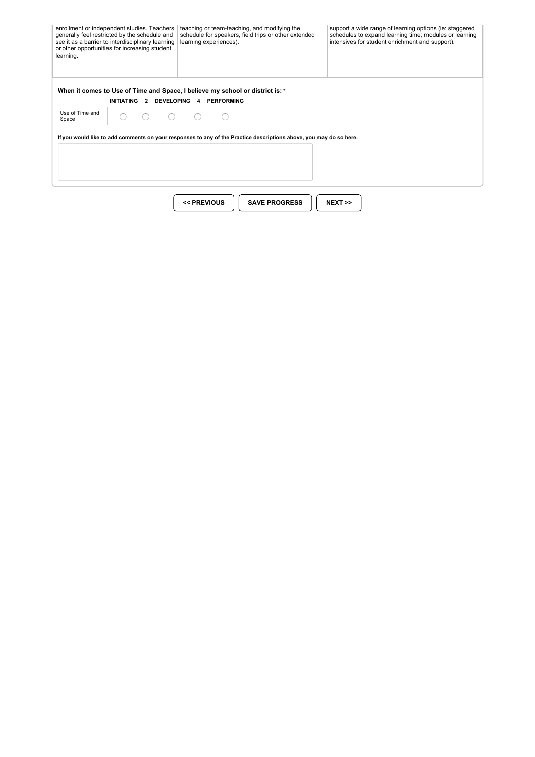| learning.                | enrollment or independent studies. Teachers<br>generally feel restricted by the schedule and<br>see it as a barrier to interdisciplinary learning<br>or other opportunities for increasing student | teaching or team-teaching, and modifying the<br>schedule for speakers, field trips or other extended<br>learning experiences). |                                                                                                                    | support a wide range of learning options (ie: staggered<br>schedules to expand learning time; modules or learning<br>intensives for student enrichment and support). |
|--------------------------|----------------------------------------------------------------------------------------------------------------------------------------------------------------------------------------------------|--------------------------------------------------------------------------------------------------------------------------------|--------------------------------------------------------------------------------------------------------------------|----------------------------------------------------------------------------------------------------------------------------------------------------------------------|
|                          | When it comes to Use of Time and Space, I believe my school or district is: *<br><b>INITIATING</b>                                                                                                 | 2 DEVELOPING 4 PERFORMING                                                                                                      |                                                                                                                    |                                                                                                                                                                      |
| Use of Time and<br>Space |                                                                                                                                                                                                    |                                                                                                                                |                                                                                                                    |                                                                                                                                                                      |
|                          |                                                                                                                                                                                                    |                                                                                                                                | If you would like to add comments on your responses to any of the Practice descriptions above, you may do so here. |                                                                                                                                                                      |
|                          |                                                                                                                                                                                                    |                                                                                                                                |                                                                                                                    |                                                                                                                                                                      |
|                          |                                                                                                                                                                                                    | << PREVIOUS                                                                                                                    | <b>SAVE PROGRESS</b>                                                                                               | $NEXT \gg$                                                                                                                                                           |